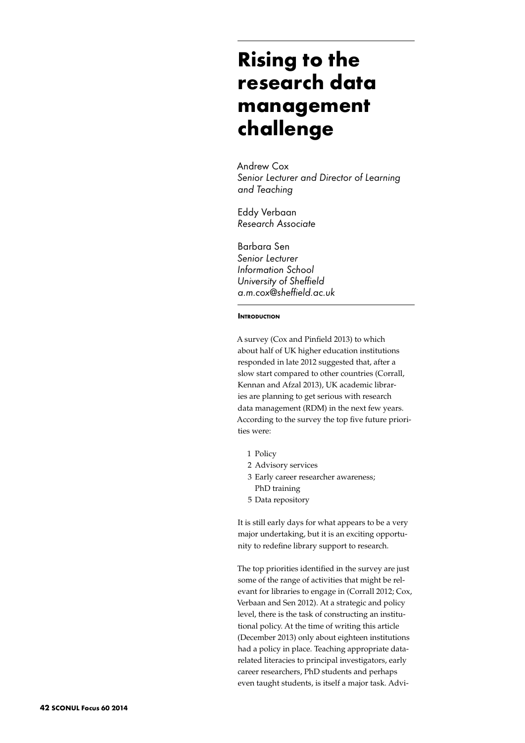# **Rising to the research data management challenge**

Andrew Cox *Senior Lecturer and Director of Learning and Teaching*

Eddy Verbaan *Research Associate*

Barbara Sen *Senior Lecturer Information School University of Sheffield a.m.cox@sheffield.ac.uk*

### **INTRODUCTION**

A survey (Cox and Pinfield 2013) to which about half of UK higher education institutions responded in late 2012 suggested that, after a slow start compared to other countries (Corrall, Kennan and Afzal 2013), UK academic libraries are planning to get serious with research data management (RDM) in the next few years. According to the survey the top five future priorities were:

- 1 Policy
- 2 Advisory services
- 3 Early career researcher awareness; PhD training
- 5 Data repository

It is still early days for what appears to be a very major undertaking, but it is an exciting opportunity to redefine library support to research.

The top priorities identified in the survey are just some of the range of activities that might be relevant for libraries to engage in (Corrall 2012; Cox, Verbaan and Sen 2012). At a strategic and policy level, there is the task of constructing an institutional policy. At the time of writing this article (December 2013) only about eighteen institutions had a policy in place. Teaching appropriate datarelated literacies to principal investigators, early career researchers, PhD students and perhaps even taught students, is itself a major task. Advi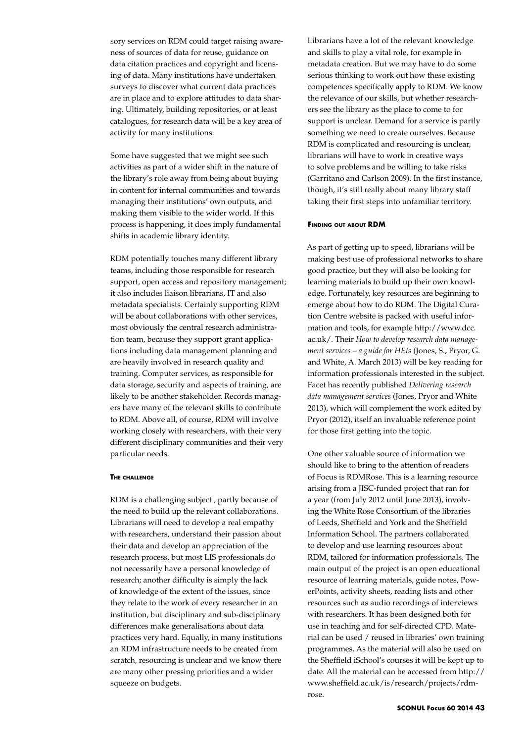sory services on RDM could target raising awareness of sources of data for reuse, guidance on data citation practices and copyright and licensing of data. Many institutions have undertaken surveys to discover what current data practices are in place and to explore attitudes to data sharing. Ultimately, building repositories, or at least catalogues, for research data will be a key area of activity for many institutions.

Some have suggested that we might see such activities as part of a wider shift in the nature of the library's role away from being about buying in content for internal communities and towards managing their institutions' own outputs, and making them visible to the wider world. If this process is happening, it does imply fundamental shifts in academic library identity.

RDM potentially touches many different library teams, including those responsible for research support, open access and repository management; it also includes liaison librarians, IT and also metadata specialists. Certainly supporting RDM will be about collaborations with other services, most obviously the central research administration team, because they support grant applications including data management planning and are heavily involved in research quality and training. Computer services, as responsible for data storage, security and aspects of training, are likely to be another stakeholder. Records managers have many of the relevant skills to contribute to RDM. Above all, of course, RDM will involve working closely with researchers, with their very different disciplinary communities and their very particular needs.

# **The challenge**

RDM is a challenging subject , partly because of the need to build up the relevant collaborations. Librarians will need to develop a real empathy with researchers, understand their passion about their data and develop an appreciation of the research process, but most LIS professionals do not necessarily have a personal knowledge of research; another difficulty is simply the lack of knowledge of the extent of the issues, since they relate to the work of every researcher in an institution, but disciplinary and sub-disciplinary differences make generalisations about data practices very hard. Equally, in many institutions an RDM infrastructure needs to be created from scratch, resourcing is unclear and we know there are many other pressing priorities and a wider squeeze on budgets.

Librarians have a lot of the relevant knowledge and skills to play a vital role, for example in metadata creation. But we may have to do some serious thinking to work out how these existing competences specifically apply to RDM. We know the relevance of our skills, but whether researchers see the library as the place to come to for support is unclear. Demand for a service is partly something we need to create ourselves. Because RDM is complicated and resourcing is unclear, librarians will have to work in creative ways to solve problems and be willing to take risks (Garritano and Carlson 2009). In the first instance, though, it's still really about many library staff taking their first steps into unfamiliar territory.

#### **Finding out about RDM**

As part of getting up to speed, librarians will be making best use of professional networks to share good practice, but they will also be looking for learning materials to build up their own knowledge. Fortunately, key resources are beginning to emerge about how to do RDM. The Digital Curation Centre website is packed with useful information and tools, for example http://www.dcc. ac.uk/. Their *How to develop research data management services – a guide for HEIs* (Jones, S., Pryor, G. and White, A. March 2013) will be key reading for information professionals interested in the subject. Facet has recently published *Delivering research data management services* (Jones, Pryor and White 2013), which will complement the work edited by Pryor (2012), itself an invaluable reference point for those first getting into the topic.

One other valuable source of information we should like to bring to the attention of readers of Focus is RDMRose. This is a learning resource arising from a JISC-funded project that ran for a year (from July 2012 until June 2013), involving the White Rose Consortium of the libraries of Leeds, Sheffield and York and the Sheffield Information School. The partners collaborated to develop and use learning resources about RDM, tailored for information professionals. The main output of the project is an open educational resource of learning materials, guide notes, PowerPoints, activity sheets, reading lists and other resources such as audio recordings of interviews with researchers. It has been designed both for use in teaching and for self-directed CPD. Material can be used / reused in libraries' own training programmes. As the material will also be used on the Sheffield iSchool's courses it will be kept up to date. All the material can be accessed from http:// www.sheffield.ac.uk/is/research/projects/rdmrose.